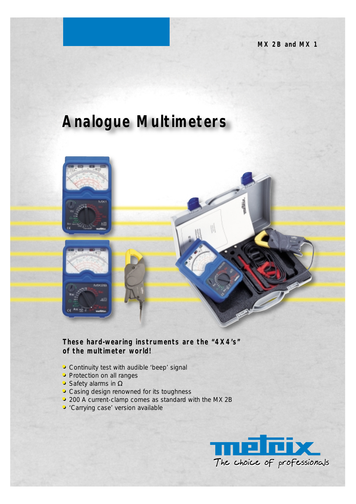# **Analogue Multimeters**



# **These hard-wearing instruments are the "4X4's" of the multimeter world!**

- **• •**Continuity test with audible 'beep' signal
- **• •**Protection on all ranges
- Safety alarms in Ω
- **• •**Casing design renowned for its toughness
- **• •**200 A current-clamp comes as standard with the MX 2B
- **• •**'Carrying case' version available